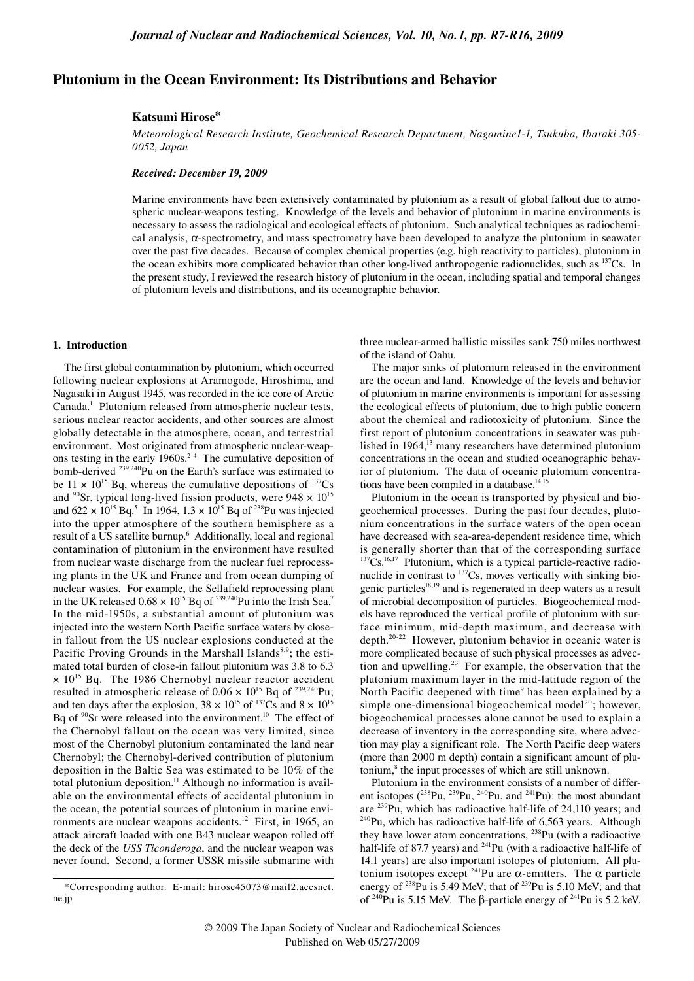# **Plutonium in the Ocean Environment: Its Distributions and Behavior**

#### **Katsumi Hirose\***

*Meteorological Research Institute, Geochemical Research Department, Nagamine1-1, Tsukuba, Ibaraki 305- 0052, Japan*

## *Received: December 19, 2009*

Marine environments have been extensively contaminated by plutonium as a result of global fallout due to atmospheric nuclear-weapons testing. Knowledge of the levels and behavior of plutonium in marine environments is necessary to assess the radiological and ecological effects of plutonium. Such analytical techniques as radiochemical analysis, α-spectrometry, and mass spectrometry have been developed to analyze the plutonium in seawater over the past five decades. Because of complex chemical properties (e.g. high reactivity to particles), plutonium in the ocean exhibits more complicated behavior than other long-lived anthropogenic radionuclides, such as  $137Cs$ . In the present study, I reviewed the research history of plutonium in the ocean, including spatial and temporal changes of plutonium levels and distributions, and its oceanographic behavior.

## **1. Introduction**

The first global contamination by plutonium, which occurred following nuclear explosions at Aramogode, Hiroshima, and Nagasaki in August 1945, was recorded in the ice core of Arctic Canada.<sup>1</sup> Plutonium released from atmospheric nuclear tests, serious nuclear reactor accidents, and other sources are almost globally detectable in the atmosphere, ocean, and terrestrial environment. Most originated from atmospheric nuclear-weapons testing in the early  $1960s<sup>2-4</sup>$  The cumulative deposition of bomb-derived <sup>239,240</sup>Pu on the Earth's surface was estimated to be  $11 \times 10^{15}$  Bq, whereas the cumulative depositions of  $137Cs$ and <sup>90</sup>Sr, typical long-lived fission products, were  $948 \times 10^{15}$ and  $622 \times 10^{15}$  Bq.<sup>5</sup> In 1964,  $1.3 \times 10^{15}$  Bq of <sup>238</sup>Pu was injected into the upper atmosphere of the southern hemisphere as a result of a US satellite burnup.<sup>6</sup> Additionally, local and regional contamination of plutonium in the environment have resulted from nuclear waste discharge from the nuclear fuel reprocessing plants in the UK and France and from ocean dumping of nuclear wastes. For example, the Sellafield reprocessing plant in the UK released  $0.68 \times 10^{15}$  Bq of <sup>239,240</sup>Pu into the Irish Sea.<sup>7</sup> In the mid-1950s, a substantial amount of plutonium was injected into the western North Pacific surface waters by closein fallout from the US nuclear explosions conducted at the Pacific Proving Grounds in the Marshall Islands<sup>8,9</sup>; the estimated total burden of close-in fallout plutonium was 3.8 to 6.3  $\times$  10<sup>15</sup> Bq. The 1986 Chernobyl nuclear reactor accident resulted in atmospheric release of  $0.06 \times 10^{15}$  Bq of <sup>239,240</sup>Pu; and ten days after the explosion,  $38 \times 10^{15}$  of  $137\text{Cs}$  and  $8 \times 10^{15}$ Bq of  $90$ Sr were released into the environment.<sup>10</sup> The effect of the Chernobyl fallout on the ocean was very limited, since most of the Chernobyl plutonium contaminated the land near Chernobyl; the Chernobyl-derived contribution of plutonium deposition in the Baltic Sea was estimated to be 10% of the total plutonium deposition.<sup>11</sup> Although no information is available on the environmental effects of accidental plutonium in the ocean, the potential sources of plutonium in marine environments are nuclear weapons accidents.<sup>12</sup> First, in 1965, an attack aircraft loaded with one B43 nuclear weapon rolled off the deck of the *USS Ticonderoga*, and the nuclear weapon was never found. Second, a former USSR missile submarine with

three nuclear-armed ballistic missiles sank 750 miles northwest of the island of Oahu.

The major sinks of plutonium released in the environment are the ocean and land. Knowledge of the levels and behavior of plutonium in marine environments is important for assessing the ecological effects of plutonium, due to high public concern about the chemical and radiotoxicity of plutonium. Since the first report of plutonium concentrations in seawater was published in 1964,<sup>13</sup> many researchers have determined plutonium concentrations in the ocean and studied oceanographic behavior of plutonium. The data of oceanic plutonium concentrations have been compiled in a database. $14,15$ 

Plutonium in the ocean is transported by physical and biogeochemical processes. During the past four decades, plutonium concentrations in the surface waters of the open ocean have decreased with sea-area-dependent residence time, which is generally shorter than that of the corresponding surface  $137Cs$ .<sup>16,17</sup> Plutonium, which is a typical particle-reactive radionuclide in contrast to  $^{137}Cs$ , moves vertically with sinking biogenic particles<sup>18,19</sup> and is regenerated in deep waters as a result of microbial decomposition of particles. Biogeochemical models have reproduced the vertical profile of plutonium with surface minimum, mid-depth maximum, and decrease with depth.20-22 However, plutonium behavior in oceanic water is more complicated because of such physical processes as advection and upwelling.23 For example, the observation that the plutonium maximum layer in the mid-latitude region of the North Pacific deepened with time<sup>9</sup> has been explained by a simple one-dimensional biogeochemical model<sup>20</sup>; however, biogeochemical processes alone cannot be used to explain a decrease of inventory in the corresponding site, where advection may play a significant role. The North Pacific deep waters (more than 2000 m depth) contain a significant amount of plutonium,<sup>8</sup> the input processes of which are still unknown.

Plutonium in the environment consists of a number of different isotopes  $(^{238}Pu, ^{239}Pu, ^{240}Pu,$  and  $^{241}Pu)$ : the most abundant are <sup>239</sup>Pu, which has radioactive half-life of 24,110 years; and <sup>240</sup>Pu, which has radioactive half-life of 6,563 years. Although they have lower atom concentrations, <sup>238</sup>Pu (with a radioactive half-life of 87.7 years) and <sup>241</sup>Pu (with a radioactive half-life of 14.1 years) are also important isotopes of plutonium. All plutonium isotopes except  $241$ Pu are  $\alpha$ -emitters. The  $\alpha$  particle energy of  $^{238}$ Pu is 5.49 MeV; that of  $^{239}$ Pu is 5.10 MeV; and that of <sup>240</sup>Pu is 5.15 MeV. The β-particle energy of <sup>241</sup>Pu is 5.2 keV.

<sup>\*</sup>Corresponding author. E-mail: hirose45073@mail2.accsnet. ne.jp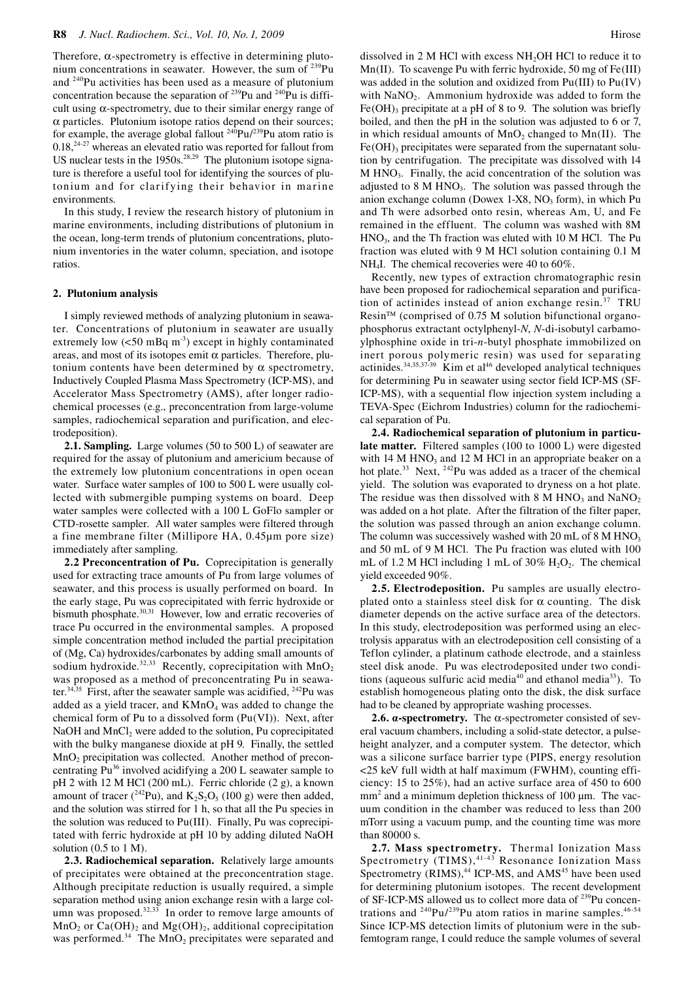Therefore,  $\alpha$ -spectrometry is effective in determining plutonium concentrations in seawater. However, the sum of <sup>239</sup>Pu and 240Pu activities has been used as a measure of plutonium concentration because the separation of  $^{239}$ Pu and  $^{240}$ Pu is difficult using α-spectrometry, due to their similar energy range of α particles. Plutonium isotope ratios depend on their sources; for example, the average global fallout  $240Pu/239Pu$  atom ratio is  $0.18<sup>24-27</sup>$  whereas an elevated ratio was reported for fallout from US nuclear tests in the  $1950s^{28,29}$  The plutonium isotope signature is therefore a useful tool for identifying the sources of plutonium and for clarifying their behavior in marine environments.

In this study, I review the research history of plutonium in marine environments, including distributions of plutonium in the ocean, long-term trends of plutonium concentrations, plutonium inventories in the water column, speciation, and isotope ratios.

#### **2. Plutonium analysis**

I simply reviewed methods of analyzing plutonium in seawater. Concentrations of plutonium in seawater are usually extremely low  $(<50 \text{ mBq m}^3)$  except in highly contaminated areas, and most of its isotopes emit  $\alpha$  particles. Therefore, plutonium contents have been determined by α spectrometry, Inductively Coupled Plasma Mass Spectrometry (ICP-MS), and Accelerator Mass Spectrometry (AMS), after longer radiochemical processes (e.g., preconcentration from large-volume samples, radiochemical separation and purification, and electrodeposition).

**2.1. Sampling.** Large volumes (50 to 500 L) of seawater are required for the assay of plutonium and americium because of the extremely low plutonium concentrations in open ocean water. Surface water samples of 100 to 500 L were usually collected with submergible pumping systems on board. Deep water samples were collected with a 100 L GoFlo sampler or CTD-rosette sampler. All water samples were filtered through a fine membrane filter (Millipore HA, 0.45µm pore size) immediately after sampling.

**2.2 Preconcentration of Pu.** Coprecipitation is generally used for extracting trace amounts of Pu from large volumes of seawater, and this process is usually performed on board. In the early stage, Pu was coprecipitated with ferric hydroxide or bismuth phosphate.<sup>30,31</sup> However, low and erratic recoveries of trace Pu occurred in the environmental samples. A proposed simple concentration method included the partial precipitation of (Mg, Ca) hydroxides/carbonates by adding small amounts of sodium hydroxide.<sup>32,33</sup> Recently, coprecipitation with  $MnO<sub>2</sub>$ was proposed as a method of preconcentrating Pu in seawater.<sup>34,35</sup> First, after the seawater sample was acidified, <sup>242</sup>Pu was added as a yield tracer, and  $KMnO<sub>4</sub>$  was added to change the chemical form of Pu to a dissolved form (Pu(VI)). Next, after NaOH and  $MnCl<sub>2</sub>$  were added to the solution, Pu coprecipitated with the bulky manganese dioxide at pH 9. Finally, the settled MnO2 precipitation was collected. Another method of preconcentrating Pu<sup>36</sup> involved acidifying a 200 L seawater sample to pH 2 with 12 M HCl (200 mL). Ferric chloride (2 g), a known amount of tracer ( $^{242}$ Pu), and  $K_2S_2O_5$  (100 g) were then added, and the solution was stirred for 1 h, so that all the Pu species in the solution was reduced to Pu(III). Finally, Pu was coprecipitated with ferric hydroxide at pH 10 by adding diluted NaOH solution  $(0.5 \text{ to } 1 \text{ M})$ .

**2.3. Radiochemical separation.** Relatively large amounts of precipitates were obtained at the preconcentration stage. Although precipitate reduction is usually required, a simple separation method using anion exchange resin with a large column was proposed. $32,33$  In order to remove large amounts of  $MnO_2$  or  $Ca(OH)_2$  and  $Mg(OH)_2$ , additional coprecipitation was performed.<sup>34</sup> The MnO<sub>2</sub> precipitates were separated and

dissolved in 2 M HCl with excess NH2OH HCl to reduce it to Mn(II). To scavenge Pu with ferric hydroxide, 50 mg of Fe(III) was added in the solution and oxidized from Pu(III) to Pu(IV) with  $\text{NaNO}_2$ . Ammonium hydroxide was added to form the Fe(OH)<sub>3</sub> precipitate at a pH of 8 to 9. The solution was briefly boiled, and then the pH in the solution was adjusted to 6 or 7, in which residual amounts of  $MnO<sub>2</sub>$  changed to  $Mn(II)$ . The  $Fe(OH)$ <sub>3</sub> precipitates were separated from the supernatant solution by centrifugation. The precipitate was dissolved with 14 M HNO<sub>3</sub>. Finally, the acid concentration of the solution was adjusted to  $8 \text{ M HNO}_3$ . The solution was passed through the anion exchange column (Dowex  $1-X8$ , NO<sub>3</sub> form), in which Pu and Th were adsorbed onto resin, whereas Am, U, and Fe remained in the effluent. The column was washed with 8M  $HNO<sub>3</sub>$ , and the Th fraction was eluted with 10 M HCl. The Pu fraction was eluted with 9 M HCl solution containing 0.1 M NH4I. The chemical recoveries were 40 to 60%.

Recently, new types of extraction chromatographic resin have been proposed for radiochemical separation and purification of actinides instead of anion exchange resin.<sup>37</sup> TRU Resin™ (comprised of 0.75 M solution bifunctional organophosphorus extractant octylphenyl-*N*, *N*-di-isobutyl carbamoylphosphine oxide in tri-*n*-butyl phosphate immobilized on inert porous polymeric resin) was used for separating actinides.<sup>34,35,37-39</sup> Kim et al<sup>46</sup> developed analytical techniques for determining Pu in seawater using sector field ICP-MS (SF-ICP-MS), with a sequential flow injection system including a TEVA-Spec (Eichrom Industries) column for the radiochemical separation of Pu.

**2.4. Radiochemical separation of plutonium in particulate matter.** Filtered samples (100 to 1000 L) were digested with 14 M HNO<sub>3</sub> and 12 M HCl in an appropriate beaker on a hot plate.<sup>33</sup> Next, <sup>242</sup>Pu was added as a tracer of the chemical yield. The solution was evaporated to dryness on a hot plate. The residue was then dissolved with  $8 \text{ M HNO}_3$  and  $\text{NaNO}_2$ was added on a hot plate. After the filtration of the filter paper, the solution was passed through an anion exchange column. The column was successively washed with 20 mL of 8 M HNO<sub>3</sub> and 50 mL of 9 M HCl. The Pu fraction was eluted with 100 mL of 1.2 M HCl including 1 mL of 30%  $H_2O_2$ . The chemical yield exceeded 90%.

**2.5. Electrodeposition.** Pu samples are usually electroplated onto a stainless steel disk for  $\alpha$  counting. The disk diameter depends on the active surface area of the detectors. In this study, electrodeposition was performed using an electrolysis apparatus with an electrodeposition cell consisting of a Teflon cylinder, a platinum cathode electrode, and a stainless steel disk anode. Pu was electrodeposited under two conditions (aqueous sulfuric acid media $40$  and ethanol media $33$ ). To establish homogeneous plating onto the disk, the disk surface had to be cleaned by appropriate washing processes.

**2.6.**  $\alpha$ **-spectrometry.** The  $\alpha$ -spectrometer consisted of several vacuum chambers, including a solid-state detector, a pulseheight analyzer, and a computer system. The detector, which was a silicone surface barrier type (PIPS, energy resolution <25 keV full width at half maximum (FWHM), counting efficiency: 15 to 25%), had an active surface area of 450 to 600 mm<sup>2</sup> and a minimum depletion thickness of 100 µm. The vacuum condition in the chamber was reduced to less than 200 mTorr using a vacuum pump, and the counting time was more than 80000 s.

**2.7. Mass spectrometry.** Thermal Ionization Mass Spectrometry  $(TIMS),$ <sup>41-43</sup> Resonance Ionization Mass Spectrometry  $(RIMS),<sup>44</sup> ICP-MS$ , and  $AMS<sup>45</sup>$  have been used for determining plutonium isotopes. The recent development of SF-ICP-MS allowed us to collect more data of <sup>239</sup>Pu concentrations and  $^{240}Pu/^{239}Pu$  atom ratios in marine samples.<sup>46-54</sup> Since ICP-MS detection limits of plutonium were in the subfemtogram range, I could reduce the sample volumes of several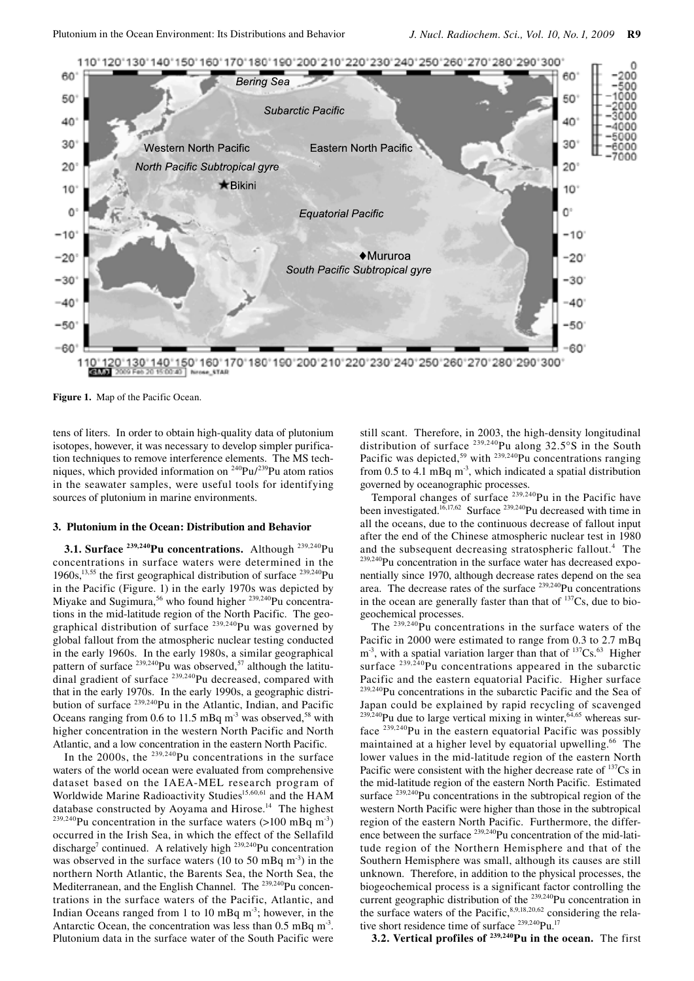

**Figure 1.** Map of the Pacific Ocean.

tens of liters. In order to obtain high-quality data of plutonium isotopes, however, it was necessary to develop simpler purification techniques to remove interference elements. The MS techniques, which provided information on 240Pu/239Pu atom ratios in the seawater samples, were useful tools for identifying sources of plutonium in marine environments.

## **3. Plutonium in the Ocean: Distribution and Behavior**

**3.1. Surface <sup>239,240</sup>Pu concentrations.** Although <sup>239,240</sup>Pu concentrations in surface waters were determined in the 1960s,<sup>13,55</sup> the first geographical distribution of surface  $^{239,240}$ Pu in the Pacific (Figure. 1) in the early 1970s was depicted by Miyake and Sugimura,<sup>56</sup> who found higher <sup>239,240</sup>Pu concentrations in the mid-latitude region of the North Pacific. The geographical distribution of surface  $^{239,240}$ Pu was governed by global fallout from the atmospheric nuclear testing conducted in the early 1960s. In the early 1980s, a similar geographical pattern of surface  $^{239,240}$ Pu was observed,<sup>57</sup> although the latitudinal gradient of surface 239,240Pu decreased, compared with that in the early 1970s. In the early 1990s, a geographic distribution of surface 239,240Pu in the Atlantic, Indian, and Pacific Oceans ranging from 0.6 to 11.5 mBq  $m<sup>3</sup>$  was observed,<sup>58</sup> with higher concentration in the western North Pacific and North Atlantic, and a low concentration in the eastern North Pacific.

In the  $2000s$ , the  $239,240$ Pu concentrations in the surface waters of the world ocean were evaluated from comprehensive dataset based on the IAEA-MEL research program of Worldwide Marine Radioactivity Studies<sup>15,60,61</sup> and the HAM database constructed by Aoyama and Hirose.<sup>14</sup> The highest <sup>239,240</sup>Pu concentration in the surface waters (>100 mBq m<sup>-3</sup>) occurred in the Irish Sea, in which the effect of the Sellafild discharge<sup>7</sup> continued. A relatively high  $239,240$ Pu concentration was observed in the surface waters (10 to 50 mBq  $m<sup>-3</sup>$ ) in the northern North Atlantic, the Barents Sea, the North Sea, the Mediterranean, and the English Channel. The <sup>239,240</sup>Pu concentrations in the surface waters of the Pacific, Atlantic, and Indian Oceans ranged from 1 to 10 mBq  $m<sup>3</sup>$ ; however, in the Antarctic Ocean, the concentration was less than  $0.5 \text{ mBa m}^3$ . Plutonium data in the surface water of the South Pacific were

still scant. Therefore, in 2003, the high-density longitudinal distribution of surface 239,240Pu along 32.5°S in the South Pacific was depicted,<sup>59</sup> with <sup>239,240</sup>Pu concentrations ranging from 0.5 to 4.1 mBq  $m^{-3}$ , which indicated a spatial distribution governed by oceanographic processes.

Temporal changes of surface  $^{239,240}$ Pu in the Pacific have been investigated.<sup>16,17,62</sup> Surface <sup>239,240</sup>Pu decreased with time in all the oceans, due to the continuous decrease of fallout input after the end of the Chinese atmospheric nuclear test in 1980 and the subsequent decreasing stratospheric fallout.<sup>4</sup> The 239,240Pu concentration in the surface water has decreased exponentially since 1970, although decrease rates depend on the sea area. The decrease rates of the surface 239,240Pu concentrations in the ocean are generally faster than that of  $^{137}Cs$ , due to biogeochemical processes.

The  $^{239,240}$ Pu concentrations in the surface waters of the Pacific in 2000 were estimated to range from 0.3 to 2.7 mBq  $m<sup>3</sup>$ , with a spatial variation larger than that of  $137Cs$ .<sup>63</sup> Higher surface <sup>239,240</sup>Pu concentrations appeared in the subarctic Pacific and the eastern equatorial Pacific. Higher surface 239,240Pu concentrations in the subarctic Pacific and the Sea of Japan could be explained by rapid recycling of scavenged  $^{239,240}$ Pu due to large vertical mixing in winter,  $^{64,65}$  whereas surface 239,240Pu in the eastern equatorial Pacific was possibly maintained at a higher level by equatorial upwelling.<sup>66</sup> The lower values in the mid-latitude region of the eastern North Pacific were consistent with the higher decrease rate of <sup>137</sup>Cs in the mid-latitude region of the eastern North Pacific. Estimated surface <sup>239,240</sup>Pu concentrations in the subtropical region of the western North Pacific were higher than those in the subtropical region of the eastern North Pacific. Furthermore, the difference between the surface 239,240Pu concentration of the mid-latitude region of the Northern Hemisphere and that of the Southern Hemisphere was small, although its causes are still unknown. Therefore, in addition to the physical processes, the biogeochemical process is a significant factor controlling the current geographic distribution of the <sup>239,240</sup>Pu concentration in the surface waters of the Pacific,  $8,9,18,20,62$  considering the relative short residence time of surface <sup>239,240</sup>Pu.<sup>17</sup>

**3.2. Vertical profiles of 239,240Pu in the ocean.** The first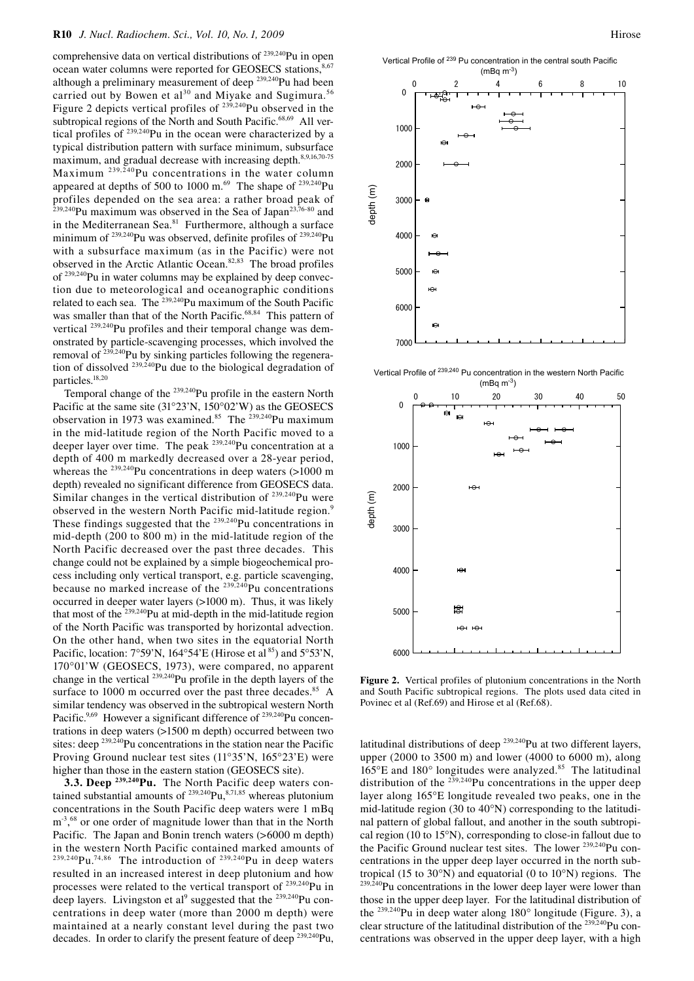comprehensive data on vertical distributions of <sup>239,240</sup>Pu in open ocean water columns were reported for GEOSECS stations,<sup>8,67</sup> although a preliminary measurement of deep <sup>239,240</sup>Pu had been carried out by Bowen et al<sup>30</sup> and Miyake and Sugimura.<sup>56</sup> Figure 2 depicts vertical profiles of <sup>239,240</sup>Pu observed in the subtropical regions of the North and South Pacific.<sup>68,69</sup> All vertical profiles of 239,240Pu in the ocean were characterized by a typical distribution pattern with surface minimum, subsurface maximum, and gradual decrease with increasing depth.<sup>8,9,16,70-75</sup> Maximum  $239,240$ Pu concentrations in the water column appeared at depths of 500 to 1000 m.<sup>69</sup> The shape of  $^{239,240}$ Pu profiles depended on the sea area: a rather broad peak of  $2^{239,240}$ Pu maximum was observed in the Sea of Japan<sup>23,76-80</sup> and in the Mediterranean Sea.<sup>81</sup> Furthermore, although a surface minimum of <sup>239,240</sup>Pu was observed, definite profiles of <sup>239,240</sup>Pu with a subsurface maximum (as in the Pacific) were not observed in the Arctic Atlantic Ocean.82,83 The broad profiles of 239,240Pu in water columns may be explained by deep convection due to meteorological and oceanographic conditions related to each sea. The  $^{239,240}$ Pu maximum of the South Pacific was smaller than that of the North Pacific.<sup>68,84</sup> This pattern of vertical <sup>239,240</sup>Pu profiles and their temporal change was demonstrated by particle-scavenging processes, which involved the removal of <sup>239,240</sup>Pu by sinking particles following the regeneration of dissolved 239,240Pu due to the biological degradation of particles.18,20

Temporal change of the <sup>239,240</sup>Pu profile in the eastern North Pacific at the same site (31°23'N, 150°02'W) as the GEOSECS observation in 1973 was examined.<sup>85</sup> The  $^{239,240}$ Pu maximum in the mid-latitude region of the North Pacific moved to a deeper layer over time. The peak <sup>239,240</sup>Pu concentration at a depth of 400 m markedly decreased over a 28-year period, whereas the <sup>239,240</sup>Pu concentrations in deep waters (>1000 m depth) revealed no significant difference from GEOSECS data. Similar changes in the vertical distribution of  $239,240$ Pu were observed in the western North Pacific mid-latitude region.<sup>9</sup> These findings suggested that the <sup>239,240</sup>Pu concentrations in mid-depth (200 to 800 m) in the mid-latitude region of the North Pacific decreased over the past three decades. This change could not be explained by a simple biogeochemical process including only vertical transport, e.g. particle scavenging, because no marked increase of the  $^{239,240}$ Pu concentrations occurred in deeper water layers (>1000 m). Thus, it was likely that most of the  $^{239,240}$ Pu at mid-depth in the mid-latitude region of the North Pacific was transported by horizontal advection. On the other hand, when two sites in the equatorial North Pacific, location:  $7^{\circ}59'N$ ,  $164^{\circ}54'E$  (Hirose et al<sup>85</sup>) and  $5^{\circ}53'N$ , 170°01'W (GEOSECS, 1973), were compared, no apparent change in the vertical <sup>239,240</sup>Pu profile in the depth layers of the surface to 1000 m occurred over the past three decades.<sup>85</sup> A similar tendency was observed in the subtropical western North Pacific.<sup>9,69</sup> However a significant difference of <sup>239,240</sup>Pu concentrations in deep waters (>1500 m depth) occurred between two sites: deep  $^{239,240}$ Pu concentrations in the station near the Pacific Proving Ground nuclear test sites (11°35'N, 165°23'E) were higher than those in the eastern station (GEOSECS site).

**3.3. Deep 239,240Pu.** The North Pacific deep waters contained substantial amounts of  $239,240$ Pu,  $8,71,85$  whereas plutonium concentrations in the South Pacific deep waters were 1 mBq m<sup>-3</sup>,<sup>68</sup> or one order of magnitude lower than that in the North Pacific. The Japan and Bonin trench waters (>6000 m depth) in the western North Pacific contained marked amounts of  $239,240$ Pu.<sup>74,86</sup> The introduction of  $239,240$ Pu in deep waters resulted in an increased interest in deep plutonium and how processes were related to the vertical transport of 239,240Pu in deep layers. Livingston et al<sup>9</sup> suggested that the  $^{239,240}$ Pu concentrations in deep water (more than 2000 m depth) were maintained at a nearly constant level during the past two decades. In order to clarify the present feature of deep 239,240Pu,





Vertical Profile of 239,240 Pu concentration in the western North Pacific  $(mBq m<sup>-3</sup>)$ 



**Figure 2.** Vertical profiles of plutonium concentrations in the North and South Pacific subtropical regions. The plots used data cited in Povinec et al (Ref.69) and Hirose et al (Ref.68).

latitudinal distributions of deep  $^{239,240}$ Pu at two different layers, upper (2000 to 3500 m) and lower (4000 to 6000 m), along 165°E and 180° longitudes were analyzed.85 The latitudinal distribution of the  $239,240$ Pu concentrations in the upper deep layer along 165°E longitude revealed two peaks, one in the mid-latitude region (30 to 40°N) corresponding to the latitudinal pattern of global fallout, and another in the south subtropical region (10 to 15°N), corresponding to close-in fallout due to the Pacific Ground nuclear test sites. The lower <sup>239,240</sup>Pu concentrations in the upper deep layer occurred in the north subtropical (15 to 30 $\degree$ N) and equatorial (0 to 10 $\degree$ N) regions. The  $239,240$ Pu concentrations in the lower deep layer were lower than those in the upper deep layer. For the latitudinal distribution of the  $^{239,240}$ Pu in deep water along 180 $^{\circ}$  longitude (Figure. 3), a clear structure of the latitudinal distribution of the 239,240Pu concentrations was observed in the upper deep layer, with a high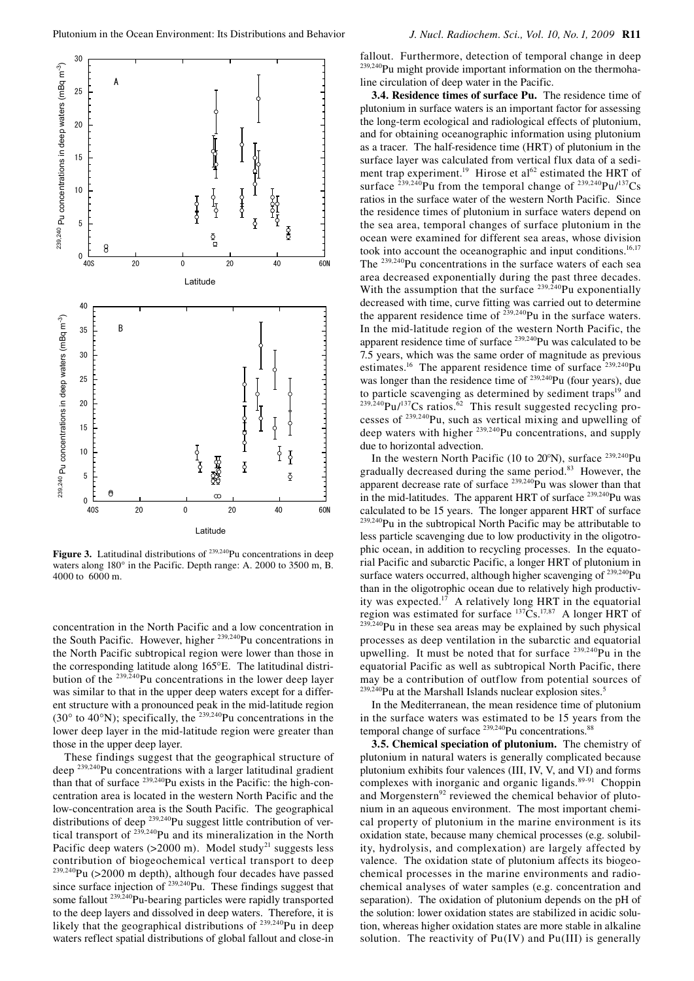

Figure 3. Latitudinal distributions of <sup>239,240</sup>Pu concentrations in deep waters along 180° in the Pacific. Depth range: A. 2000 to 3500 m, B. 4000 to 6000 m.

concentration in the North Pacific and a low concentration in the South Pacific. However, higher <sup>239,240</sup>Pu concentrations in the North Pacific subtropical region were lower than those in the corresponding latitude along 165°E. The latitudinal distribution of the <sup>239,240</sup>Pu concentrations in the lower deep layer was similar to that in the upper deep waters except for a different structure with a pronounced peak in the mid-latitude region (30 $\degree$  to 40 $\degree$ N); specifically, the  $239,240$ Pu concentrations in the lower deep layer in the mid-latitude region were greater than those in the upper deep layer.

These findings suggest that the geographical structure of deep<sup>239,240</sup>Pu concentrations with a larger latitudinal gradient than that of surface <sup>239,240</sup>Pu exists in the Pacific: the high-concentration area is located in the western North Pacific and the low-concentration area is the South Pacific. The geographical distributions of deep <sup>239,240</sup>Pu suggest little contribution of vertical transport of <sup>239,240</sup>Pu and its mineralization in the North Pacific deep waters  $(>2000 \text{ m})$ . Model study<sup>21</sup> suggests less contribution of biogeochemical vertical transport to deep  $239,240$ Pu (>2000 m depth), although four decades have passed since surface injection of  $^{239,240}$ Pu. These findings suggest that some fallout <sup>239,240</sup>Pu-bearing particles were rapidly transported to the deep layers and dissolved in deep waters. Therefore, it is likely that the geographical distributions of <sup>239,240</sup>Pu in deep waters reflect spatial distributions of global fallout and close-in fallout. Furthermore, detection of temporal change in deep <sup>239,240</sup>Pu might provide important information on the thermohaline circulation of deep water in the Pacific.

**3.4. Residence times of surface Pu.** The residence time of plutonium in surface waters is an important factor for assessing the long-term ecological and radiological effects of plutonium, and for obtaining oceanographic information using plutonium as a tracer. The half-residence time (HRT) of plutonium in the surface layer was calculated from vertical flux data of a sediment trap experiment.<sup>19</sup> Hirose et al<sup>62</sup> estimated the HRT of surface  $^{239,240}$ Pu from the temporal change of  $^{239,240}$ Pu/<sup>137</sup>Cs ratios in the surface water of the western North Pacific. Since the residence times of plutonium in surface waters depend on the sea area, temporal changes of surface plutonium in the ocean were examined for different sea areas, whose division took into account the oceanographic and input conditions.<sup>16,17</sup> The 239,240Pu concentrations in the surface waters of each sea area decreased exponentially during the past three decades. With the assumption that the surface  $239,240$ Pu exponentially decreased with time, curve fitting was carried out to determine the apparent residence time of  $^{239,240}$ Pu in the surface waters. In the mid-latitude region of the western North Pacific, the apparent residence time of surface 239,240Pu was calculated to be 7.5 years, which was the same order of magnitude as previous estimates.<sup>16</sup> The apparent residence time of surface  $239,240$ Pu was longer than the residence time of <sup>239,240</sup>Pu (four years), due to particle scavenging as determined by sediment traps<sup>19</sup> and  $^{239,240}$ Pu/<sup>137</sup>Cs ratios.<sup>62</sup> This result suggested recycling processes of 239,240Pu, such as vertical mixing and upwelling of deep waters with higher 239,240Pu concentrations, and supply due to horizontal advection.

In the western North Pacific (10 to 20°N), surface 239,240Pu gradually decreased during the same period.<sup>83</sup> However, the apparent decrease rate of surface  $239,240$ Pu was slower than that in the mid-latitudes. The apparent HRT of surface  $^{239,240}$ Pu was calculated to be 15 years. The longer apparent HRT of surface <sup>239,240</sup>Pu in the subtropical North Pacific may be attributable to less particle scavenging due to low productivity in the oligotrophic ocean, in addition to recycling processes. In the equatorial Pacific and subarctic Pacific, a longer HRT of plutonium in surface waters occurred, although higher scavenging of <sup>239,240</sup>Pu than in the oligotrophic ocean due to relatively high productivity was expected.<sup>17</sup> A relatively long HRT in the equatorial region was estimated for surface  $137\text{Cs}$ .<sup>17,87</sup> A longer HRT of  $239,240$ Pu in these sea areas may be explained by such physical processes as deep ventilation in the subarctic and equatorial upwelling. It must be noted that for surface  $^{239,240}$ Pu in the equatorial Pacific as well as subtropical North Pacific, there may be a contribution of outflow from potential sources of  ${}^{0}$ Pu at the Marshall Islands nuclear explosion sites.<sup>5</sup>

In the Mediterranean, the mean residence time of plutonium in the surface waters was estimated to be 15 years from the temporal change of surface  $239,240$ Pu concentrations.<sup>88</sup>

**3.5. Chemical speciation of plutonium.** The chemistry of plutonium in natural waters is generally complicated because plutonium exhibits four valences (III, IV, V, and VI) and forms complexes with inorganic and organic ligands.<sup>89-91</sup> Choppin and Morgenstern<sup>92</sup> reviewed the chemical behavior of plutonium in an aqueous environment. The most important chemical property of plutonium in the marine environment is its oxidation state, because many chemical processes (e.g. solubility, hydrolysis, and complexation) are largely affected by valence. The oxidation state of plutonium affects its biogeochemical processes in the marine environments and radiochemical analyses of water samples (e.g. concentration and separation). The oxidation of plutonium depends on the pH of the solution: lower oxidation states are stabilized in acidic solution, whereas higher oxidation states are more stable in alkaline solution. The reactivity of Pu(IV) and Pu(III) is generally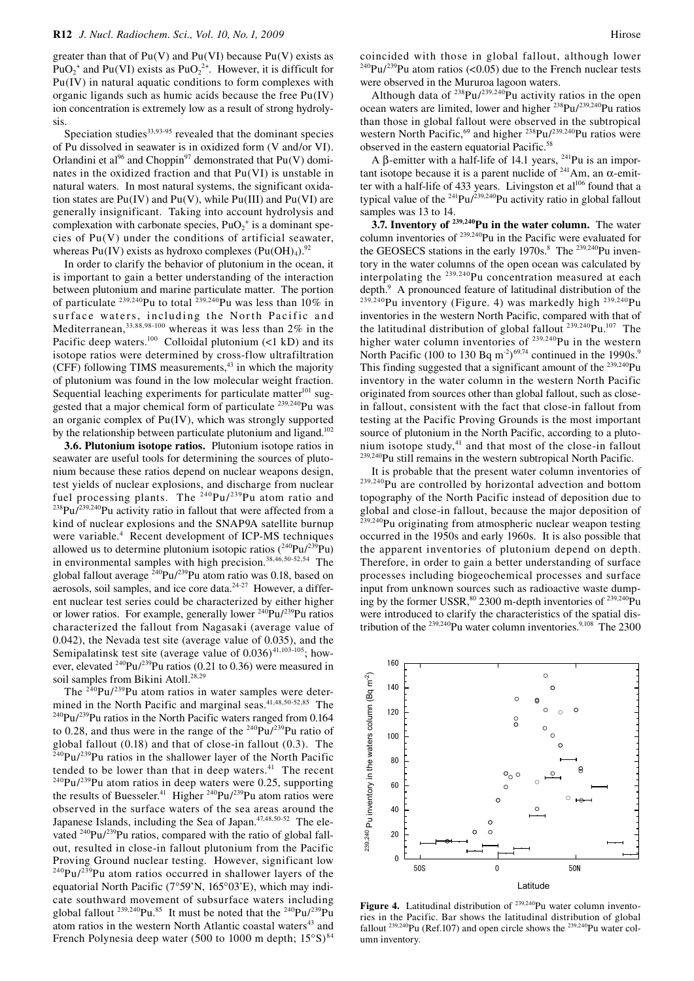greater than that of  $Pu(V)$  and  $Pu(VI)$  because  $Pu(V)$  exists as  $PuO_2^+$  and Pu(VI) exists as PuO<sub>2</sub><sup>2+</sup>. However, it is difficult for Pu(IV) in natural aquatic conditions to form complexes with organic ligands such as humic acids because the free Pu(IV) ion concentration is extremely low as a result of strong hydrolysis.

Speciation studies $33,93.95$  revealed that the dominant species of Pu dissolved in seawater is in oxidized form (V and/or VI). Orlandini et al<sup>96</sup> and Choppin<sup>97</sup> demonstrated that  $Pu(V)$  dominates in the oxidized fraction and that Pu(VI) is unstable in natural waters. In most natural systems, the significant oxidation states are  $Pu(IV)$  and  $Pu(V)$ , while  $Pu(III)$  and  $Pu(VI)$  are generally insignificant. Taking into account hydrolysis and complexation with carbonate species,  $PuO<sub>2</sub><sup>+</sup>$  is a dominant species of  $Pu(V)$  under the conditions of artificial seawater, whereas Pu(IV) exists as hydroxo complexes  $(Pu(OH)<sub>4</sub>)$ .<sup>92</sup>

In order to clarify the behavior of plutonium in the ocean, it is important to gain a better understanding of the interaction between plutonium and marine particulate matter. The portion of particulate <sup>239,240</sup>Pu to total <sup>239,240</sup>Pu was less than 10% in surface waters, including the North Pacific and Mediterranean,33,88,98-100 whereas it was less than 2% in the Pacific deep waters.<sup>100</sup> Colloidal plutonium  $($ <1 kD) and its isotope ratios were determined by cross-flow ultrafiltration  $(CFF)$  following TIMS measurements,<sup>43</sup> in which the majority of plutonium was found in the low molecular weight fraction. Sequential leaching experiments for particulate matter $101$  suggested that a major chemical form of particulate <sup>239,240</sup>Pu was an organic complex of Pu(IV), which was strongly supported by the relationship between particulate plutonium and ligand.<sup>102</sup>

**3.6. Plutonium isotope ratios.** Plutonium isotope ratios in seawater are useful tools for determining the sources of plutonium because these ratios depend on nuclear weapons design, test yields of nuclear explosions, and discharge from nuclear fuel processing plants. The <sup>240</sup>Pu/<sup>239</sup>Pu atom ratio and <sup>238</sup>Pu/<sup>239</sup>2<sup>40</sup>Pu activity ratio in fallout that were affected from a kind of nuclear explosions and the SNAP9A satellite burnup were variable.<sup>4</sup> Recent development of ICP-MS techniques allowed us to determine plutonium isotopic ratios  $(^{240}Pu^{239}Pu)$ in environmental samples with high precision.<sup>38,46,50-52,54</sup> The global fallout average  ${}^{240}$ Pu/<sup>239</sup>Pu atom ratio was 0.18, based on aerosols, soil samples, and ice core data.24-27 However, a different nuclear test series could be characterized by either higher or lower ratios. For example, generally lower  $240\text{Pu}/239\text{Pu}$  ratios characterized the fallout from Nagasaki (average value of 0.042), the Nevada test site (average value of 0.035), and the Semipalatinsk test site (average value of  $0.036$ )<sup>41,103-105</sup>; however, elevated 240Pu/239Pu ratios (0.21 to 0.36) were measured in soil samples from Bikini Atoll.<sup>28,29</sup>

The  $240$ Pu/ $239$ Pu atom ratios in water samples were determined in the North Pacific and marginal seas.<sup>41,48,50-52,85</sup> The  $^{240}Pu/^{239}Pu$  ratios in the North Pacific waters ranged from 0.164 to 0.28, and thus were in the range of the  $240 \text{Pu}/239 \text{Pu}$  ratio of global fallout (0.18) and that of close-in fallout (0.3). The  $^{240}$ Pu/ $^{239}$ Pu ratios in the shallower layer of the North Pacific tended to be lower than that in deep waters.<sup>41</sup> The recent  $^{240}Pu/^{239}Pu$  atom ratios in deep waters were 0.25, supporting the results of Buesseler.<sup>41</sup> Higher <sup>240</sup>Pu/<sup>239</sup>Pu atom ratios were observed in the surface waters of the sea areas around the Japanese Islands, including the Sea of Japan.47,48,50-52 The elevated <sup>240</sup>Pu/<sup>239</sup>Pu ratios, compared with the ratio of global fallout, resulted in close-in fallout plutonium from the Pacific Proving Ground nuclear testing. However, significant low  $^{240}$ Pu/ $^{239}$ Pu atom ratios occurred in shallower layers of the equatorial North Pacific (7°59'N, 165°03'E), which may indicate southward movement of subsurface waters including global fallout  $^{239,240}$ Pu.<sup>85</sup> It must be noted that the  $^{240}$ Pu/ $^{239}$ Pu atom ratios in the western North Atlantic coastal waters<sup>43</sup> and French Polynesia deep water (500 to 1000 m depth;  $15^{\circ}$ S)<sup>84</sup>

coincided with those in global fallout, although lower  $^{240}$ Pu/<sup>239</sup>Pu atom ratios (<0.05) due to the French nuclear tests were observed in the Mururoa lagoon waters.

Although data of  $^{238}Pu/^{239,240}Pu$  activity ratios in the open ocean waters are limited, lower and higher 238Pu/239,240Pu ratios than those in global fallout were observed in the subtropical western North Pacific,  $69$  and higher  $238$ Pu/ $239,240$ Pu ratios were observed in the eastern equatorial Pacific.<sup>58</sup>

A  $\beta$ -emitter with a half-life of 14.1 years, <sup>241</sup>Pu is an important isotope because it is a parent nuclide of  $241$ Am, an  $\alpha$ -emitter with a half-life of 433 years. Livingston et  $al^{106}$  found that a typical value of the <sup>241</sup>Pu/<sup>239,240</sup>Pu activity ratio in global fallout samples was 13 to 14.

**3.7. Inventory of 239,240Pu in the water column.** The water column inventories of 239,240Pu in the Pacific were evaluated for the GEOSECS stations in the early 1970s.<sup>8</sup> The <sup>239,240</sup>Pu inventory in the water columns of the open ocean was calculated by interpolating the  $^{239,240}$ Pu concentration measured at each depth.<sup>9</sup> A pronounced feature of latitudinal distribution of the  $239,240$ Pu inventory (Figure. 4) was markedly high  $239,240$ Pu inventories in the western North Pacific, compared with that of the latitudinal distribution of global fallout  $239,240$ Pu.<sup>107</sup> The higher water column inventories of <sup>239,240</sup>Pu in the western North Pacific (100 to 130 Bq m<sup>-2</sup>)<sup>69,74</sup> continued in the 1990s.<sup>9</sup> This finding suggested that a significant amount of the <sup>239,240</sup>Pu inventory in the water column in the western North Pacific originated from sources other than global fallout, such as closein fallout, consistent with the fact that close-in fallout from testing at the Pacific Proving Grounds is the most important source of plutonium in the North Pacific, according to a plutonium isotope study,<sup>41</sup> and that most of the close-in fallout 239,240Pu still remains in the western subtropical North Pacific.

It is probable that the present water column inventories of  $239,240$ Pu are controlled by horizontal advection and bottom topography of the North Pacific instead of deposition due to global and close-in fallout, because the major deposition of  $29,240$ Pu originating from atmospheric nuclear weapon testing occurred in the 1950s and early 1960s. It is also possible that the apparent inventories of plutonium depend on depth. Therefore, in order to gain a better understanding of surface processes including biogeochemical processes and surface input from unknown sources such as radioactive waste dumping by the former USSR,<sup>80</sup> 2300 m-depth inventories of <sup>239,240</sup>Pu were introduced to clarify the characteristics of the spatial distribution of the  $^{239,240}$ Pu water column inventories.<sup>9,108</sup> The 2300



**Figure 4.** Latitudinal distribution of <sup>239,240</sup>Pu water column inventories in the Pacific. Bar shows the latitudinal distribution of global fallout  $^{239,240}$ Pu (Ref.107) and open circle shows the  $^{239,240}$ Pu water column inventory.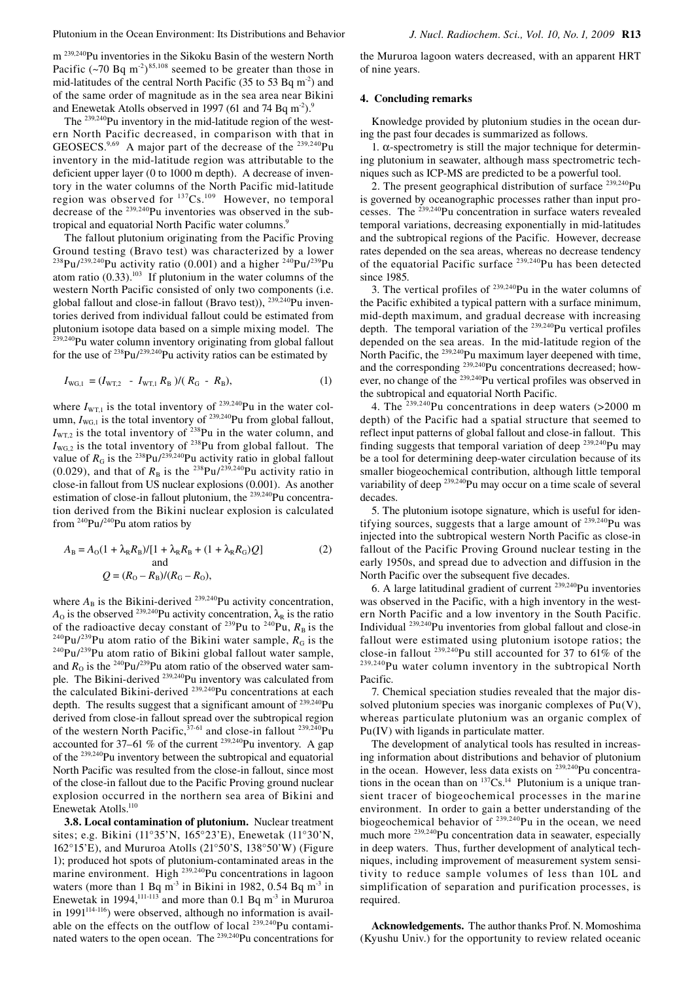m<sup>239,240</sup>Pu inventories in the Sikoku Basin of the western North Pacific  $({\sim}70 \text{ Bq m}^{-2})^{85,108}$  seemed to be greater than those in mid-latitudes of the central North Pacific (35 to 53 Bq  $m<sup>2</sup>$ ) and of the same order of magnitude as in the sea area near Bikini and Enewetak Atolls observed in 1997 (61 and 74 Bq m<sup>-2</sup>).<sup>9</sup>

The <sup>239,240</sup>Pu inventory in the mid-latitude region of the western North Pacific decreased, in comparison with that in GEOSECS.<sup>9,69</sup> A major part of the decrease of the <sup>239,240</sup>Pu inventory in the mid-latitude region was attributable to the deficient upper layer (0 to 1000 m depth). A decrease of inventory in the water columns of the North Pacific mid-latitude region was observed for  $137Cs$ .<sup>109</sup> However, no temporal decrease of the 239,240Pu inventories was observed in the subtropical and equatorial North Pacific water columns.<sup>9</sup>

The fallout plutonium originating from the Pacific Proving Ground testing (Bravo test) was characterized by a lower <sup>238</sup>Pu/<sup>239,240</sup>Pu activity ratio (0.001) and a higher <sup>240</sup>Pu/<sup>239</sup>Pu atom ratio  $(0.33)$ .<sup>103</sup> If plutonium in the water columns of the western North Pacific consisted of only two components (i.e. global fallout and close-in fallout (Bravo test)),  $^{239,240}$ Pu inventories derived from individual fallout could be estimated from plutonium isotope data based on a simple mixing model. The <sup>239,240</sup>Pu water column inventory originating from global fallout for the use of  $^{238}Pu/^{239,240}Pu$  activity ratios can be estimated by

$$
I_{\text{WG},1} = (I_{\text{WT},2} - I_{\text{WT},1} R_{\text{B}}) / (R_{\text{G}} - R_{\text{B}}),
$$
\n(1)

where  $I_{\text{WT,1}}$  is the total inventory of  $^{239,240}$ Pu in the water column,  $I_{\text{WG},1}$  is the total inventory of <sup>239,240</sup>Pu from global fallout,  $I_{\text{WT-2}}$  is the total inventory of <sup>238</sup>Pu in the water column, and  $I_{\text{WG},2}$  is the total inventory of <sup>238</sup>Pu from global fallout. The value of  $R_G$  is the <sup>238</sup>Pu/<sup>239,240</sup>Pu activity ratio in global fallout (0.029), and that of  $R_B$  is the <sup>238</sup>Pu/<sup>239,240</sup>Pu activity ratio in close-in fallout from US nuclear explosions (0.001). As another estimation of close-in fallout plutonium, the <sup>239,240</sup>Pu concentration derived from the Bikini nuclear explosion is calculated from  $240$ Pu/ $240$ Pu atom ratios by

$$
A_{\rm B} = A_{\rm O}(1 + \lambda_{\rm R} R_{\rm B}) / [1 + \lambda_{\rm R} R_{\rm B} + (1 + \lambda_{\rm R} R_{\rm G}) Q]
$$
  
and  

$$
Q = (R_{\rm O} - R_{\rm B}) / (R_{\rm G} - R_{\rm O}),
$$
 (2)

where  $A_B$  is the Bikini-derived <sup>239,240</sup>Pu activity concentration, *A*<sub>O</sub> is the observed <sup>239,240</sup>Pu activity concentration,  $\lambda_R$  is the ratio of the radioactive decay constant of <sup>239</sup>Pu to <sup>240</sup>Pu,  $R_B$  is the <sup>240</sup>Pu/<sup>239</sup>Pu atom ratio of the Bikini water sample,  $R_G$  is the <sup>240</sup>Pu/<sup>239</sup>Pu atom ratio of Bikini global fallout water sample, and  $R<sub>0</sub>$  is the <sup>240</sup>Pu/<sup>239</sup>Pu atom ratio of the observed water sample. The Bikini-derived <sup>239,240</sup>Pu inventory was calculated from the calculated Bikini-derived <sup>239,240</sup>Pu concentrations at each depth. The results suggest that a significant amount of <sup>239,240</sup>Pu derived from close-in fallout spread over the subtropical region of the western North Pacific,  $37-61$  and close-in fallout  $239,240$ Pu accounted for 37–61 % of the current  $^{239,240}$ Pu inventory. A gap of the 239,240Pu inventory between the subtropical and equatorial North Pacific was resulted from the close-in fallout, since most of the close-in fallout due to the Pacific Proving ground nuclear explosion occurred in the northern sea area of Bikini and Enewetak Atolls.110

**3.8. Local contamination of plutonium.** Nuclear treatment sites; e.g. Bikini (11°35'N, 165°23'E), Enewetak (11°30'N, 162°15'E), and Mururoa Atolls (21°50'S, 138°50'W) (Figure 1); produced hot spots of plutonium-contaminated areas in the marine environment. High <sup>239,240</sup>Pu concentrations in lagoon waters (more than 1 Bq m<sup>-3</sup> in Bikini in 1982, 0.54 Bq m<sup>-3</sup> in Enewetak in 1994,  $111-113$  and more than 0.1 Bq m<sup>-3</sup> in Mururoa in  $1991^{114-116}$ ) were observed, although no information is available on the effects on the outflow of local  $239,240$ Pu contaminated waters to the open ocean. The <sup>239,240</sup>Pu concentrations for

the Mururoa lagoon waters decreased, with an apparent HRT of nine years.

## **4. Concluding remarks**

Knowledge provided by plutonium studies in the ocean during the past four decades is summarized as follows.

1. α-spectrometry is still the major technique for determining plutonium in seawater, although mass spectrometric techniques such as ICP-MS are predicted to be a powerful tool.

2. The present geographical distribution of surface <sup>239,240</sup>Pu is governed by oceanographic processes rather than input processes. The 239,240Pu concentration in surface waters revealed temporal variations, decreasing exponentially in mid-latitudes and the subtropical regions of the Pacific. However, decrease rates depended on the sea areas, whereas no decrease tendency of the equatorial Pacific surface 239,240Pu has been detected since 1985.

3. The vertical profiles of  $^{239,240}$ Pu in the water columns of the Pacific exhibited a typical pattern with a surface minimum, mid-depth maximum, and gradual decrease with increasing depth. The temporal variation of the  $^{239,240}$ Pu vertical profiles depended on the sea areas. In the mid-latitude region of the North Pacific, the <sup>239,240</sup>Pu maximum layer deepened with time, and the corresponding 239,240Pu concentrations decreased; however, no change of the <sup>239,240</sup>Pu vertical profiles was observed in the subtropical and equatorial North Pacific.

4. The  $239,240$ Pu concentrations in deep waters (>2000 m depth) of the Pacific had a spatial structure that seemed to reflect input patterns of global fallout and close-in fallout. This finding suggests that temporal variation of deep  $^{239,240}$ Pu may be a tool for determining deep-water circulation because of its smaller biogeochemical contribution, although little temporal variability of deep <sup>239,240</sup>Pu may occur on a time scale of several decades.

5. The plutonium isotope signature, which is useful for identifying sources, suggests that a large amount of  $239,240$ Pu was injected into the subtropical western North Pacific as close-in fallout of the Pacific Proving Ground nuclear testing in the early 1950s, and spread due to advection and diffusion in the North Pacific over the subsequent five decades.

6. A large latitudinal gradient of current 239,240Pu inventories was observed in the Pacific, with a high inventory in the western North Pacific and a low inventory in the South Pacific. Individual 239,240Pu inventories from global fallout and close-in fallout were estimated using plutonium isotope ratios; the close-in fallout 239,240Pu still accounted for 37 to 61% of the 239,240Pu water column inventory in the subtropical North Pacific.

7. Chemical speciation studies revealed that the major dissolved plutonium species was inorganic complexes of  $Pu(V)$ , whereas particulate plutonium was an organic complex of Pu(IV) with ligands in particulate matter.

The development of analytical tools has resulted in increasing information about distributions and behavior of plutonium in the ocean. However, less data exists on <sup>239,240</sup>Pu concentrations in the ocean than on  $137Cs$ .<sup>14</sup> Plutonium is a unique transient tracer of biogeochemical processes in the marine environment. In order to gain a better understanding of the biogeochemical behavior of <sup>239,240</sup>Pu in the ocean, we need much more <sup>239,240</sup>Pu concentration data in seawater, especially in deep waters. Thus, further development of analytical techniques, including improvement of measurement system sensitivity to reduce sample volumes of less than 10L and simplification of separation and purification processes, is required.

**Acknowledgements.** The author thanks Prof. N. Momoshima (Kyushu Univ.) for the opportunity to review related oceanic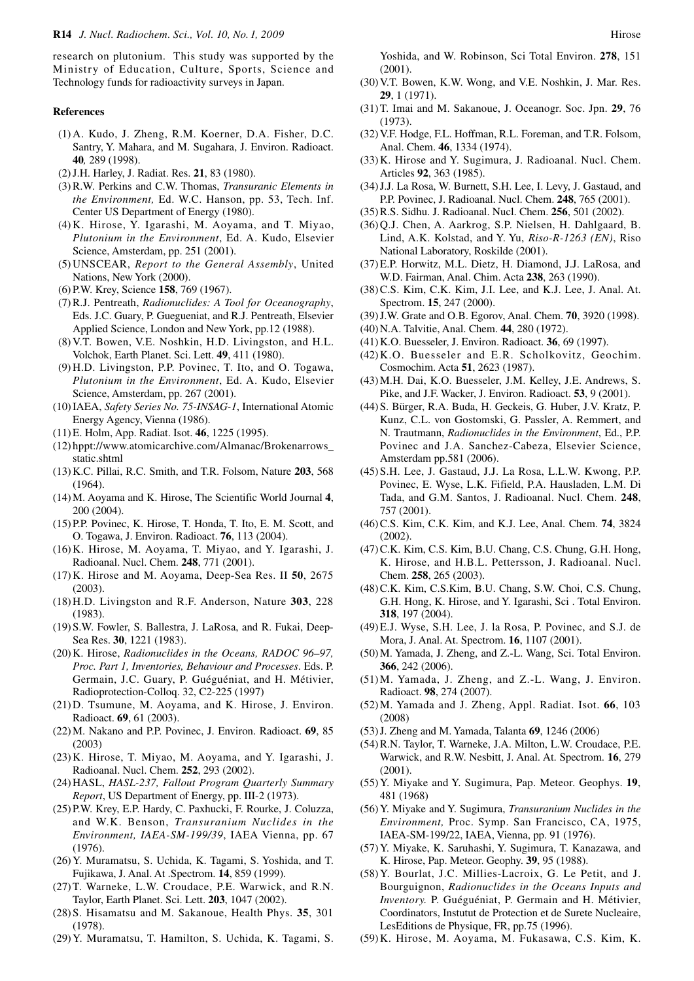research on plutonium. This study was supported by the Ministry of Education, Culture, Sports, Science and Technology funds for radioactivity surveys in Japan.

## **References**

- (1) A. Kudo, J. Zheng, R.M. Koerner, D.A. Fisher, D.C. Santry, Y. Mahara, and M. Sugahara, J. Environ. Radioact. **40***,* 289 (1998).
- (2) J.H. Harley, J. Radiat. Res. **21**, 83 (1980).
- (3) R.W. Perkins and C.W. Thomas, *Transuranic Elements in the Environment,* Ed. W.C. Hanson, pp. 53, Tech. Inf. Center US Department of Energy (1980).
- (4) K. Hirose, Y. Igarashi, M. Aoyama, and T. Miyao, *Plutonium in the Environment*, Ed. A. Kudo, Elsevier Science, Amsterdam, pp. 251 (2001).
- (5) UNSCEAR, *Report to the General Assembly*, United Nations, New York (2000).
- (6) P.W. Krey, Science **158**, 769 (1967).
- (7) R.J. Pentreath, *Radionuclides: A Tool for Oceanography*, Eds. J.C. Guary, P. Guegueniat, and R.J. Pentreath, Elsevier Applied Science, London and New York, pp.12 (1988).
- (8) V.T. Bowen, V.E. Noshkin, H.D. Livingston, and H.L. Volchok, Earth Planet. Sci. Lett. **49**, 411 (1980).
- (9) H.D. Livingston, P.P. Povinec, T. Ito, and O. Togawa, *Plutonium in the Environment*, Ed. A. Kudo, Elsevier Science, Amsterdam, pp. 267 (2001).
- (10) IAEA, *Safety Series No. 75-INSAG-1*, International Atomic Energy Agency, Vienna (1986).
- (11) E. Holm, App. Radiat. Isot. **46**, 1225 (1995).
- (12) hppt://www.atomicarchive.com/Almanac/Brokenarrows\_ static.shtml
- (13) K.C. Pillai, R.C. Smith, and T.R. Folsom, Nature **203**, 568 (1964).
- (14) M. Aoyama and K. Hirose, The Scientific World Journal **4**, 200 (2004).
- (15) P.P. Povinec, K. Hirose, T. Honda, T. Ito, E. M. Scott, and O. Togawa, J. Environ. Radioact. **76**, 113 (2004).
- (16) K. Hirose, M. Aoyama, T. Miyao, and Y. Igarashi, J. Radioanal. Nucl. Chem. **248**, 771 (2001).
- (17) K. Hirose and M. Aoyama, Deep-Sea Res. II **50**, 2675 (2003).
- (18) H.D. Livingston and R.F. Anderson, Nature **303**, 228 (1983).
- (19) S.W. Fowler, S. Ballestra, J. LaRosa, and R. Fukai, Deep-Sea Res. **30**, 1221 (1983).
- (20) K. Hirose, *Radionuclides in the Oceans, RADOC 96–97, Proc. Part 1, Inventories, Behaviour and Processes*. Eds. P. Germain, J.C. Guary, P. Guéguéniat, and H. Métivier, Radioprotection-Colloq. 32, C2-225 (1997)
- (21) D. Tsumune, M. Aoyama, and K. Hirose, J. Environ. Radioact. **69**, 61 (2003).
- (22) M. Nakano and P.P. Povinec, J. Environ. Radioact. **69**, 85 (2003)
- (23) K. Hirose, T. Miyao, M. Aoyama, and Y. Igarashi, J. Radioanal. Nucl. Chem. **252**, 293 (2002).
- (24) HASL, *HASL-237, Fallout Program Quarterly Summary Report*, US Department of Energy, pp. III-2 (1973).
- (25) P.W. Krey, E.P. Hardy, C. Paxhucki, F. Rourke, J. Coluzza, and W.K. Benson, *Transuranium Nuclides in the Environment, IAEA-SM-199/39*, IAEA Vienna, pp. 67 (1976).
- (26) Y. Muramatsu, S. Uchida, K. Tagami, S. Yoshida, and T. Fujikawa, J. Anal. At .Spectrom. **14**, 859 (1999).
- (27) T. Warneke, L.W. Croudace, P.E. Warwick, and R.N. Taylor, Earth Planet. Sci. Lett. **203**, 1047 (2002).
- (28) S. Hisamatsu and M. Sakanoue, Health Phys. **35**, 301 (1978).
- (29) Y. Muramatsu, T. Hamilton, S. Uchida, K. Tagami, S.

Yoshida, and W. Robinson, Sci Total Environ. **278**, 151 (2001).

- (30) V.T. Bowen, K.W. Wong, and V.E. Noshkin, J. Mar. Res. **29**, 1 (1971).
- (31) T. Imai and M. Sakanoue, J. Oceanogr. Soc. Jpn. **29**, 76 (1973).
- (32) V.F. Hodge, F.L. Hoffman, R.L. Foreman, and T.R. Folsom, Anal. Chem. **46**, 1334 (1974).
- (33) K. Hirose and Y. Sugimura, J. Radioanal. Nucl. Chem. Articles **92**, 363 (1985).
- (34) J.J. La Rosa, W. Burnett, S.H. Lee, I. Levy, J. Gastaud, and P.P. Povinec, J. Radioanal. Nucl. Chem. **248**, 765 (2001).
- (35) R.S. Sidhu. J. Radioanal. Nucl. Chem. **256**, 501 (2002).
- (36) Q.J. Chen, A. Aarkrog, S.P. Nielsen, H. Dahlgaard, B. Lind, A.K. Kolstad, and Y. Yu, *Riso-R-1263 (EN)*, Riso National Laboratory, Roskilde (2001).
- (37) E.P. Horwitz, M.L. Dietz, H. Diamond, J.J. LaRosa, and W.D. Fairman, Anal. Chim. Acta **238**, 263 (1990).
- (38) C.S. Kim, C.K. Kim, J.I. Lee, and K.J. Lee, J. Anal. At. Spectrom. **15**, 247 (2000).
- (39) J.W. Grate and O.B. Egorov, Anal. Chem. **70**, 3920 (1998).
- (40) N.A. Talvitie, Anal. Chem. **44**, 280 (1972).
- (41) K.O. Buesseler, J. Environ. Radioact. **36**, 69 (1997).
- (42) K.O. Buesseler and E.R. Scholkovitz, Geochim. Cosmochim. Acta **51**, 2623 (1987).
- (43) M.H. Dai, K.O. Buesseler, J.M. Kelley, J.E. Andrews, S. Pike, and J.F. Wacker, J. Environ. Radioact. **53**, 9 (2001).
- (44) S. Bürger, R.A. Buda, H. Geckeis, G. Huber, J.V. Kratz, P. Kunz, C.L. von Gostomski, G. Passler, A. Remmert, and N. Trautmann, *Radionuclides in the Environment*, Ed., P.P. Povinec and J.A. Sanchez-Cabeza, Elsevier Science, Amsterdam pp.581 (2006).
- (45) S.H. Lee, J. Gastaud, J.J. La Rosa, L.L.W. Kwong, P.P. Povinec, E. Wyse, L.K. Fifield, P.A. Hausladen, L.M. Di Tada, and G.M. Santos, J. Radioanal. Nucl. Chem. **248**, 757 (2001).
- (46) C.S. Kim, C.K. Kim, and K.J. Lee, Anal. Chem. **74**, 3824 (2002).
- (47) C.K. Kim, C.S. Kim, B.U. Chang, C.S. Chung, G.H. Hong, K. Hirose, and H.B.L. Pettersson, J. Radioanal. Nucl. Chem. **258**, 265 (2003).
- (48) C.K. Kim, C.S.Kim, B.U. Chang, S.W. Choi, C.S. Chung, G.H. Hong, K. Hirose, and Y. Igarashi, Sci . Total Environ. **318**, 197 (2004).
- (49) E.J. Wyse, S.H. Lee, J. la Rosa, P. Povinec, and S.J. de Mora, J. Anal. At. Spectrom. **16**, 1107 (2001).
- (50) M. Yamada, J. Zheng, and Z.-L. Wang, Sci. Total Environ. **366**, 242 (2006).
- (51) M. Yamada, J. Zheng, and Z.-L. Wang, J. Environ. Radioact. **98**, 274 (2007).
- (52) M. Yamada and J. Zheng, Appl. Radiat. Isot. **66**, 103 (2008)
- (53) J. Zheng and M. Yamada, Talanta **69**, 1246 (2006)
- (54) R.N. Taylor, T. Warneke, J.A. Milton, L.W. Croudace, P.E. Warwick, and R.W. Nesbitt, J. Anal. At. Spectrom. **16**, 279 (2001).
- (55) Y. Miyake and Y. Sugimura, Pap. Meteor. Geophys. **19**, 481 (1968)
- (56) Y. Miyake and Y. Sugimura, *Transuranium Nuclides in the Environment,* Proc. Symp. San Francisco, CA, 1975, IAEA-SM-199/22, IAEA, Vienna, pp. 91 (1976).
- (57) Y. Miyake, K. Saruhashi, Y. Sugimura, T. Kanazawa, and K. Hirose, Pap. Meteor. Geophy. **39**, 95 (1988).
- (58) Y. Bourlat, J.C. Millies-Lacroix, G. Le Petit, and J. Bourguignon, *Radionuclides in the Oceans Inputs and Inventory.* P. Guéguéniat, P. Germain and H. Métivier, Coordinators, Instutut de Protection et de Surete Nucleaire, LesEditions de Physique, FR, pp.75 (1996).
- (59) K. Hirose, M. Aoyama, M. Fukasawa, C.S. Kim, K.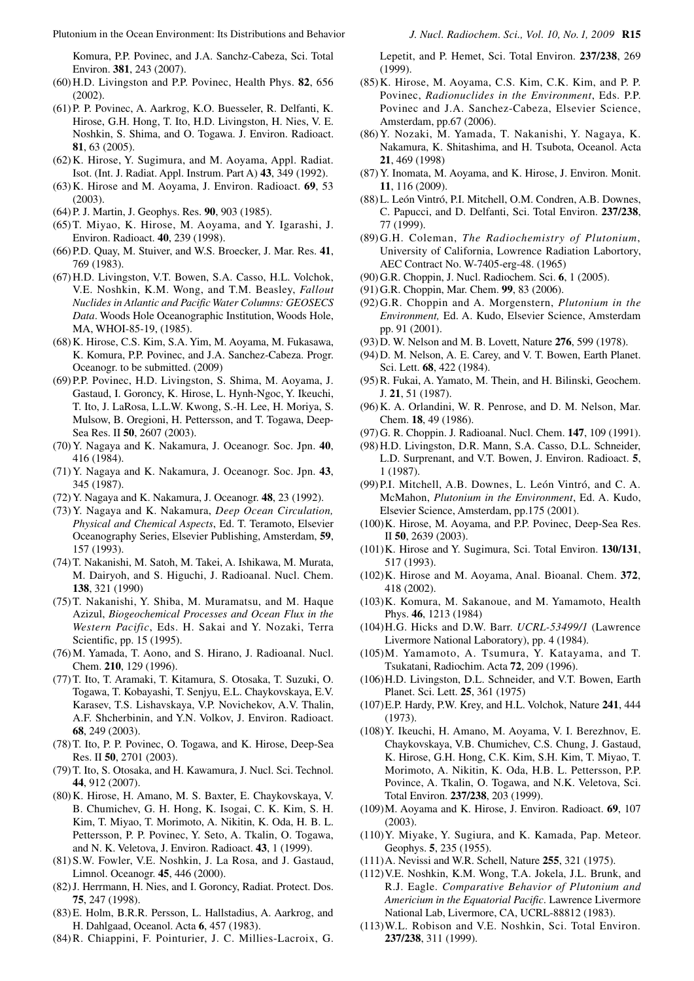Komura, P.P. Povinec, and J.A. Sanchz-Cabeza, Sci. Total Environ. **381**, 243 (2007).

- (60) H.D. Livingston and P.P. Povinec, Health Phys. **82**, 656  $(2002)$ .
- (61) P. P. Povinec, A. Aarkrog, K.O. Buesseler, R. Delfanti, K. Hirose, G.H. Hong, T. Ito, H.D. Livingston, H. Nies, V. E. Noshkin, S. Shima, and O. Togawa. J. Environ. Radioact. **81**, 63 (2005).
- (62) K. Hirose, Y. Sugimura, and M. Aoyama, Appl. Radiat. Isot. (Int. J. Radiat. Appl. Instrum. Part A) **43**, 349 (1992).
- (63) K. Hirose and M. Aoyama, J. Environ. Radioact. **69**, 53 (2003).
- (64) P. J. Martin, J. Geophys. Res. **90**, 903 (1985).
- (65) T. Miyao, K. Hirose, M. Aoyama, and Y. Igarashi, J. Environ. Radioact. **40**, 239 (1998).
- (66) P.D. Quay, M. Stuiver, and W.S. Broecker, J. Mar. Res. **41**, 769 (1983).
- (67) H.D. Livingston, V.T. Bowen, S.A. Casso, H.L. Volchok, V.E. Noshkin, K.M. Wong, and T.M. Beasley, *Fallout Nuclides in Atlantic and Pacific Water Columns: GEOSECS Data*. Woods Hole Oceanographic Institution, Woods Hole, MA, WHOI-85-19, (1985).
- (68) K. Hirose, C.S. Kim, S.A. Yim, M. Aoyama, M. Fukasawa, K. Komura, P.P. Povinec, and J.A. Sanchez-Cabeza. Progr. Oceanogr. to be submitted. (2009)
- (69) P.P. Povinec, H.D. Livingston, S. Shima, M. Aoyama, J. Gastaud, I. Goroncy, K. Hirose, L. Hynh-Ngoc, Y. Ikeuchi, T. Ito, J. LaRosa, L.L.W. Kwong, S.-H. Lee, H. Moriya, S. Mulsow, B. Oregioni, H. Pettersson, and T. Togawa, Deep-Sea Res. II **50**, 2607 (2003).
- (70) Y. Nagaya and K. Nakamura, J. Oceanogr. Soc. Jpn. **40**, 416 (1984).
- (71) Y. Nagaya and K. Nakamura, J. Oceanogr. Soc. Jpn. **43**, 345 (1987).
- (72) Y. Nagaya and K. Nakamura, J. Oceanogr. **48**, 23 (1992).
- (73) Y. Nagaya and K. Nakamura, *Deep Ocean Circulation, Physical and Chemical Aspects*, Ed. T. Teramoto, Elsevier Oceanography Series, Elsevier Publishing, Amsterdam, **59**, 157 (1993).
- (74) T. Nakanishi, M. Satoh, M. Takei, A. Ishikawa, M. Murata, M. Dairyoh, and S. Higuchi, J. Radioanal. Nucl. Chem. **138**, 321 (1990)
- (75) T. Nakanishi, Y. Shiba, M. Muramatsu, and M. Haque Azizul, *Biogeochemical Processes and Ocean Flux in the Western Pacific*, Eds. H. Sakai and Y. Nozaki, Terra Scientific, pp. 15 (1995).
- (76) M. Yamada, T. Aono, and S. Hirano, J. Radioanal. Nucl. Chem. **210**, 129 (1996).
- (77) T. Ito, T. Aramaki, T. Kitamura, S. Otosaka, T. Suzuki, O. Togawa, T. Kobayashi, T. Senjyu, E.L. Chaykovskaya, E.V. Karasev, T.S. Lishavskaya, V.P. Novichekov, A.V. Thalin, A.F. Shcherbinin, and Y.N. Volkov, J. Environ. Radioact. **68**, 249 (2003).
- (78) T. Ito, P. P. Povinec, O. Togawa, and K. Hirose, Deep-Sea Res. II **50**, 2701 (2003).
- (79) T. Ito, S. Otosaka, and H. Kawamura, J. Nucl. Sci. Technol. **44**, 912 (2007).
- (80) K. Hirose, H. Amano, M. S. Baxter, E. Chaykovskaya, V. B. Chumichev, G. H. Hong, K. Isogai, C. K. Kim, S. H. Kim, T. Miyao, T. Morimoto, A. Nikitin, K. Oda, H. B. L. Pettersson, P. P. Povinec, Y. Seto, A. Tkalin, O. Togawa, and N. K. Veletova, J. Environ. Radioact. **43**, 1 (1999).
- (81) S.W. Fowler, V.E. Noshkin, J. La Rosa, and J. Gastaud, Limnol. Oceanogr. **45**, 446 (2000).
- (82) J. Herrmann, H. Nies, and I. Goroncy, Radiat. Protect. Dos. **75**, 247 (1998).
- (83) E. Holm, B.R.R. Persson, L. Hallstadius, A. Aarkrog, and H. Dahlgaad, Oceanol. Acta **6**, 457 (1983).
- (84) R. Chiappini, F. Pointurier, J. C. Millies-Lacroix, G.

Lepetit, and P. Hemet, Sci. Total Environ. **237/238**, 269 (1999).

- (85) K. Hirose, M. Aoyama, C.S. Kim, C.K. Kim, and P. P. Povinec, *Radionuclides in the Environment*, Eds. P.P. Povinec and J.A. Sanchez-Cabeza, Elsevier Science, Amsterdam, pp.67 (2006).
- (86) Y. Nozaki, M. Yamada, T. Nakanishi, Y. Nagaya, K. Nakamura, K. Shitashima, and H. Tsubota, Oceanol. Acta **21**, 469 (1998)
- (87) Y. Inomata, M. Aoyama, and K. Hirose, J. Environ. Monit. **11**, 116 (2009).
- (88) L. León Vintró, P.I. Mitchell, O.M. Condren, A.B. Downes, C. Papucci, and D. Delfanti, Sci. Total Environ. **237/238**, 77 (1999).
- (89) G.H. Coleman, *The Radiochemistry of Plutonium*, University of California, Lowrence Radiation Labortory, AEC Contract No. W-7405-erg-48. (1965)
- (90) G.R. Choppin, J. Nucl. Radiochem. Sci. **6**, 1 (2005).
- (91) G.R. Choppin, Mar. Chem. **99**, 83 (2006).
- (92) G.R. Choppin and A. Morgenstern, *Plutonium in the Environment,* Ed. A. Kudo, Elsevier Science, Amsterdam pp. 91 (2001).
- (93) D. W. Nelson and M. B. Lovett, Nature **276**, 599 (1978).
- (94) D. M. Nelson, A. E. Carey, and V. T. Bowen, Earth Planet. Sci. Lett. **68**, 422 (1984).
- (95) R. Fukai, A. Yamato, M. Thein, and H. Bilinski, Geochem. J. **21**, 51 (1987).
- (96) K. A. Orlandini, W. R. Penrose, and D. M. Nelson, Mar. Chem. **18**, 49 (1986).
- (97) G. R. Choppin. J*.* Radioanal. Nucl. Chem. **147**, 109 (1991).
- (98) H.D. Livingston, D.R. Mann, S.A. Casso, D.L. Schneider, L.D. Surprenant, and V.T. Bowen, J. Environ. Radioact. **5**, 1 (1987).
- (99) P.I. Mitchell, A.B. Downes, L. León Vintró, and C. A. McMahon, *Plutonium in the Environment*, Ed. A. Kudo, Elsevier Science, Amsterdam, pp.175 (2001).
- (100) K. Hirose, M. Aoyama, and P.P. Povinec, Deep-Sea Res. II **50**, 2639 (2003).
- (101) K. Hirose and Y. Sugimura, Sci. Total Environ. **130/131**, 517 (1993).
- (102) K. Hirose and M. Aoyama, Anal. Bioanal. Chem. **372**, 418 (2002).
- (103) K. Komura, M. Sakanoue, and M. Yamamoto, Health Phys. **46**, 1213 (1984)
- (104) H.G. Hicks and D.W. Barr. *UCRL-53499/1* (Lawrence Livermore National Laboratory), pp. 4 (1984).
- (105) M. Yamamoto, A. Tsumura, Y. Katayama, and T. Tsukatani, Radiochim. Acta **72**, 209 (1996).
- (106) H.D. Livingston, D.L. Schneider, and V.T. Bowen, Earth Planet. Sci. Lett. **25**, 361 (1975)
- (107) E.P. Hardy, P.W. Krey, and H.L. Volchok, Nature **241**, 444 (1973).
- (108) Y. Ikeuchi, H. Amano, M. Aoyama, V. I. Berezhnov, E. Chaykovskaya, V.B. Chumichev, C.S. Chung, J. Gastaud, K. Hirose, G.H. Hong, C.K. Kim, S.H. Kim, T. Miyao, T. Morimoto, A. Nikitin, K. Oda, H.B. L. Pettersson, P.P. Povince, A. Tkalin, O. Togawa, and N.K. Veletova, Sci. Total Environ. **237/238**, 203 (1999).
- (109) M. Aoyama and K. Hirose, J. Environ. Radioact. **69**, 107 (2003).
- (110) Y. Miyake, Y. Sugiura, and K. Kamada, Pap. Meteor. Geophys. **5**, 235 (1955).
- (111) A. Nevissi and W.R. Schell, Nature **255**, 321 (1975).
- (112) V.E. Noshkin, K.M. Wong, T.A. Jokela, J.L. Brunk, and R.J. Eagle. *Comparative Behavior of Plutonium and Americium in the Equatorial Pacific*. Lawrence Livermore National Lab, Livermore, CA, UCRL-88812 (1983).
- (113) W.L. Robison and V.E. Noshkin, Sci. Total Environ. **237/238**, 311 (1999).